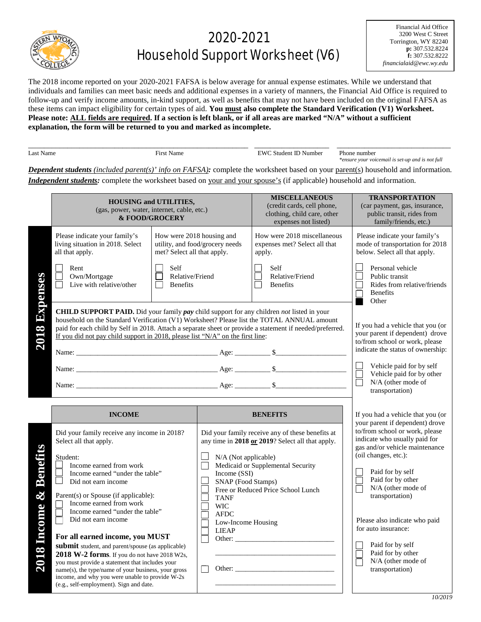

## 2020-2021 Household Support Worksheet (V6)

Financial Aid Office 3200 West C Street Torrington, WY 82240 **p:** 307.532.8224 **f:** 307.532.8222 *financialaid@ewc.wy.edu*

The 2018 income reported on your 2020-2021 FAFSA is below average for annual expense estimates. While we understand that individuals and families can meet basic needs and additional expenses in a variety of manners, the Financial Aid Office is required to follow-up and verify income amounts, in-kind support, as well as benefits that may not have been included on the original FAFSA as these items can impact eligibility for certain types of aid. **You must also complete the Standard Verification (V1) Worksheet. Please note: ALL fields are required. If a section is left blank, or if all areas are marked "N/A" without a sufficient explanation, the form will be returned to you and marked as incomplete.** 

|           |                                                     |                              | _______________________                                                       |
|-----------|-----------------------------------------------------|------------------------------|-------------------------------------------------------------------------------|
| Name<br>ഹ | $-1$<br>машк<br>and the contract of the contract of | 7337.<br>vumbei<br>ent<br>шс | numbe.<br>'hone                                                               |
|           |                                                     |                              | - -<br>noi<br>$\cdot$ om $\cdot$<br>$\cdots$<br>. tull<br>sour<br>ensu<br>vou |

*Dependent students (included parent(s)' info on FAFSA):* complete the worksheet based on your parent(s) household and information. *Independent students:* complete the worksheet based on your and your spouse's (if applicable) household and information.

|                       | <b>HOUSING and UTILITIES,</b><br>(gas, power, water, internet, cable, etc.)<br>& FOOD/GROCERY                                                                                                                                                                                                                                                                                                              |                                                          |                                                                                                                              | <b>MISCELLANEOUS</b><br>(credit cards, cell phone,<br>clothing, child care, other<br>expenses not listed)                                                                       | <b>TRANSPORTATION</b><br>(car payment, gas, insurance,<br>public transit, rides from<br>family/friends, etc.)                                                                                                                                                                   |
|-----------------------|------------------------------------------------------------------------------------------------------------------------------------------------------------------------------------------------------------------------------------------------------------------------------------------------------------------------------------------------------------------------------------------------------------|----------------------------------------------------------|------------------------------------------------------------------------------------------------------------------------------|---------------------------------------------------------------------------------------------------------------------------------------------------------------------------------|---------------------------------------------------------------------------------------------------------------------------------------------------------------------------------------------------------------------------------------------------------------------------------|
|                       | Please indicate your family's<br>living situation in 2018. Select<br>all that apply.                                                                                                                                                                                                                                                                                                                       | How were 2018 housing and<br>met? Select all that apply. | utility, and food/grocery needs                                                                                              | How were 2018 miscellaneous<br>expenses met? Select all that<br>apply.                                                                                                          | Please indicate your family's<br>mode of transportation for 2018<br>below. Select all that apply.                                                                                                                                                                               |
| Expens                | Rent<br>Own/Mortgage<br>Live with relative/other                                                                                                                                                                                                                                                                                                                                                           | Self<br>П<br>Relative/Friend<br><b>Benefits</b>          |                                                                                                                              | Self<br>Relative/Friend<br><b>Benefits</b>                                                                                                                                      | Personal vehicle<br>Public transit<br>Rides from relative/friends<br><b>Benefits</b><br>Other                                                                                                                                                                                   |
| 8<br>201              | <b>CHILD SUPPORT PAID.</b> Did your family <i>pay</i> child support for any children <i>not</i> listed in your<br>household on the Standard Verification (V1) Worksheet? Please list the TOTAL ANNUAL amount<br>paid for each child by Self in 2018. Attach a separate sheet or provide a statement if needed/preferred.<br>If you did not pay child support in 2018, please list "N/A" on the first line: |                                                          |                                                                                                                              |                                                                                                                                                                                 | If you had a vehicle that you (or<br>your parent if dependent) drove<br>to/from school or work, please<br>indicate the status of ownership:<br>Vehicle paid for by self<br>Vehicle paid for by other<br>N/A (other mode of<br>transportation)                                   |
|                       | <b>INCOME</b>                                                                                                                                                                                                                                                                                                                                                                                              |                                                          |                                                                                                                              | <b>BENEFITS</b>                                                                                                                                                                 | If you had a vehicle that you (or                                                                                                                                                                                                                                               |
| Benefi<br>$\infty$    | Did your family receive any income in 2018?<br>Select all that apply.<br>Student:<br>Income earned from work<br>Income earned "under the table"<br>Did not earn income<br>Parent(s) or Spouse (if applicable):<br>Income earned from work<br>Income earned "under the table"<br>Did not earn income                                                                                                        |                                                          | N/A (Not applicable)<br>Income (SSI)<br>SNAP (Food Stamps)<br><b>TANF</b><br><b>WIC</b><br><b>AFDC</b><br>Low-Income Housing | Did your family receive any of these benefits at<br>any time in 2018 or 2019? Select all that apply.<br>Medicaid or Supplemental Security<br>Free or Reduced Price School Lunch | your parent if dependent) drove<br>to/from school or work, please<br>indicate who usually paid for<br>gas and/or vehicle maintenance<br>(oil changes, etc.):<br>Paid for by self<br>Paid for by other<br>N/A (other mode of<br>transportation)<br>Please also indicate who paid |
| <b>Income</b><br>2018 | For all earned income, you MUST<br>submit student, and parent/spouse (as applicable)<br>2018 W-2 forms. If you do not have 2018 W2s,<br>you must provide a statement that includes your<br>name(s), the type/name of your business, your gross<br>income, and why you were unable to provide W-2s<br>(e.g., self-employment). Sign and date.                                                               |                                                          | <b>LIEAP</b>                                                                                                                 | Other:                                                                                                                                                                          | for auto insurance:<br>Paid for by self<br>Paid for by other<br>N/A (other mode of<br>transportation)                                                                                                                                                                           |